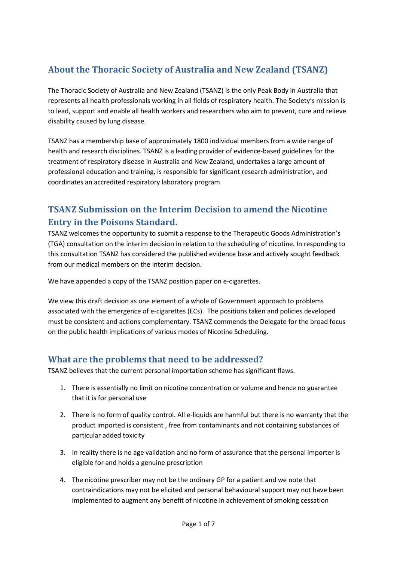# **About the Thoracic Society of Australia and New Zealand (TSANZ)**

The Thoracic Society of Australia and New Zealand (TSANZ) is the only Peak Body in Australia that represents all health professionals working in all fields of respiratory health. The Society's mission is to lead, support and enable all health workers and researchers who aim to prevent, cure and relieve disability caused by lung disease.

TSANZ has a membership base of approximately 1800 individual members from a wide range of health and research disciplines. TSANZ is a leading provider of evidence-based guidelines for the treatment of respiratory disease in Australia and New Zealand, undertakes a large amount of professional education and training, is responsible for significant research administration, and coordinates an accredited respiratory laboratory program

# **TSANZ Submission on the Interim Decision to amend the Nicotine Entry in the Poisons Standard.**

TSANZ welcomes the opportunity to submit a response to the Therapeutic Goods Administration's (TGA) consultation on the interim decision in relation to the scheduling of nicotine. In responding to this consultation TSANZ has considered the published evidence base and actively sought feedback from our medical members on the interim decision.

We have appended a copy of the TSANZ position paper on e-cigarettes.

We view this draft decision as one element of a whole of Government approach to problems associated with the emergence of e-cigarettes (ECs). The positions taken and policies developed must be consistent and actions complementary. TSANZ commends the Delegate for the broad focus on the public health implications of various modes of Nicotine Scheduling.

## **What are the problems that need to be addressed?**

TSANZ believes that the current personal importation scheme has significant flaws.

- 1. There is essentially no limit on nicotine concentration or volume and hence no guarantee that it is for personal use
- 2. There is no form of quality control. All e-liquids are harmful but there is no warranty that the product imported is consistent , free from contaminants and not containing substances of particular added toxicity
- 3. In reality there is no age validation and no form of assurance that the personal importer is eligible for and holds a genuine prescription
- 4. The nicotine prescriber may not be the ordinary GP for a patient and we note that contraindications may not be elicited and personal behavioural support may not have been implemented to augment any benefit of nicotine in achievement of smoking cessation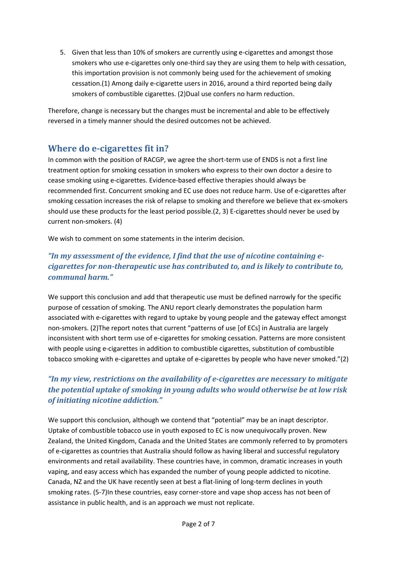5. Given that less than 10% of smokers are currently using e-cigarettes and amongst those smokers who use e-cigarettes only one-third say they are using them to help with cessation, this importation provision is not commonly being used for the achievement of smoking cessation.(1) Among daily e-cigarette users in 2016, around a third reported being daily smokers of combustible cigarettes. (2)Dual use confers no harm reduction.

Therefore, change is necessary but the changes must be incremental and able to be effectively reversed in a timely manner should the desired outcomes not be achieved.

## **Where do e-cigarettes fit in?**

In common with the position of RACGP, we agree the short-term use of ENDS is not a first line treatment option for smoking cessation in smokers who express to their own doctor a desire to cease smoking using e-cigarettes. Evidence-based effective therapies should always be recommended first. Concurrent smoking and EC use does not reduce harm. Use of e-cigarettes after smoking cessation increases the risk of relapse to smoking and therefore we believe that ex-smokers should use these products for the least period possible.(2, 3) E-cigarettes should never be used by current non-smokers. (4)

We wish to comment on some statements in the interim decision.

#### "In my assessment of the evidence, I find that the use of nicotine containing e*cigarettes for non-therapeutic use has contributed to, and is likely to contribute to, communal harm."*

We support this conclusion and add that therapeutic use must be defined narrowly for the specific purpose of cessation of smoking. The ANU report clearly demonstrates the population harm associated with e-cigarettes with regard to uptake by young people and the gateway effect amongst non-smokers. (2)The report notes that current "patterns of use [of ECs] in Australia are largely inconsistent with short term use of e-cigarettes for smoking cessation. Patterns are more consistent with people using e-cigarettes in addition to combustible cigarettes, substitution of combustible tobacco smoking with e-cigarettes and uptake of e-cigarettes by people who have never smoked."(2)

## *"In my view, restrictions on the availability of e-cigarettes are necessary to mitigate the potential uptake of smoking in young adults who would otherwise be at low risk of initiating nicotine addiction."*

We support this conclusion, although we contend that "potential" may be an inapt descriptor. Uptake of combustible tobacco use in youth exposed to EC is now unequivocally proven. New Zealand, the United Kingdom, Canada and the United States are commonly referred to by promoters of e-cigarettes as countries that Australia should follow as having liberal and successful regulatory environments and retail availability. These countries have, in common, dramatic increases in youth vaping, and easy access which has expanded the number of young people addicted to nicotine. Canada, NZ and the UK have recently seen at best a flat-lining of long-term declines in youth smoking rates. (5-7)In these countries, easy corner-store and vape shop access has not been of assistance in public health, and is an approach we must not replicate.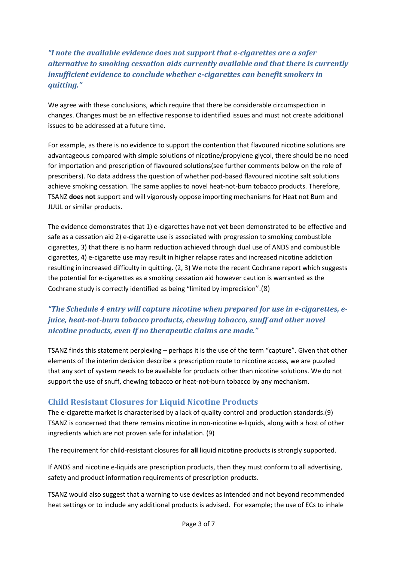## *"I note the available evidence does not support that e-cigarettes are a safer alternative to smoking cessation aids currently available and that there is currently insufficient evidence to conclude whether e-cigarettes can benefit smokers in quitting."*

We agree with these conclusions, which require that there be considerable circumspection in changes. Changes must be an effective response to identified issues and must not create additional issues to be addressed at a future time.

For example, as there is no evidence to support the contention that flavoured nicotine solutions are advantageous compared with simple solutions of nicotine/propylene glycol, there should be no need for importation and prescription of flavoured solutions(see further comments below on the role of prescribers). No data address the question of whether pod-based flavoured nicotine salt solutions achieve smoking cessation. The same applies to novel heat-not-burn tobacco products. Therefore, TSANZ **does not** support and will vigorously oppose importing mechanisms for Heat not Burn and JUUL or similar products.

The evidence demonstrates that 1) e-cigarettes have not yet been demonstrated to be effective and safe as a cessation aid 2) e-cigarette use is associated with progression to smoking combustible cigarettes, 3) that there is no harm reduction achieved through dual use of ANDS and combustible cigarettes, 4) e-cigarette use may result in higher relapse rates and increased nicotine addiction resulting in increased difficulty in quitting. (2, 3) We note the recent Cochrane report which suggests the potential for e-cigarettes as a smoking cessation aid however caution is warranted as the Cochrane study is correctly identified as being "limited by imprecision".(8)

## *"The Schedule 4 entry will capture nicotine when prepared for use in e-cigarettes, ejuice, heat-not-burn tobacco products, chewing tobacco, snuff and other novel nicotine products, even if no therapeutic claims are made."*

TSANZ finds this statement perplexing – perhaps it is the use of the term "capture". Given that other elements of the interim decision describe a prescription route to nicotine access, we are puzzled that any sort of system needs to be available for products other than nicotine solutions. We do not support the use of snuff, chewing tobacco or heat-not-burn tobacco by any mechanism.

## **Child Resistant Closures for Liquid Nicotine Products**

The e-cigarette market is characterised by a lack of quality control and production standards.(9) TSANZ is concerned that there remains nicotine in non-nicotine e-liquids, along with a host of other ingredients which are not proven safe for inhalation. (9)

The requirement for child-resistant closures for **all** liquid nicotine products is strongly supported.

If ANDS and nicotine e-liquids are prescription products, then they must conform to all advertising, safety and product information requirements of prescription products.

TSANZ would also suggest that a warning to use devices as intended and not beyond recommended heat settings or to include any additional products is advised. For example; the use of ECs to inhale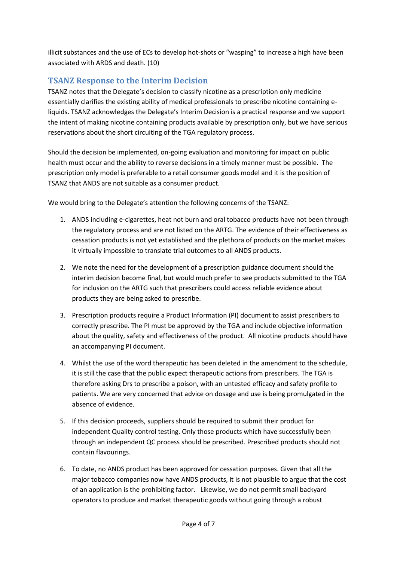illicit substances and the use of ECs to develop hot-shots or "wasping" to increase a high have been associated with ARDS and death. (10)

#### **TSANZ Response to the Interim Decision**

TSANZ notes that the Delegate's decision to classify nicotine as a prescription only medicine essentially clarifies the existing ability of medical professionals to prescribe nicotine containing eliquids. TSANZ acknowledges the Delegate's Interim Decision is a practical response and we support the intent of making nicotine containing products available by prescription only, but we have serious reservations about the short circuiting of the TGA regulatory process.

Should the decision be implemented, on-going evaluation and monitoring for impact on public health must occur and the ability to reverse decisions in a timely manner must be possible. The prescription only model is preferable to a retail consumer goods model and it is the position of TSANZ that ANDS are not suitable as a consumer product.

We would bring to the Delegate's attention the following concerns of the TSANZ:

- 1. ANDS including e-cigarettes, heat not burn and oral tobacco products have not been through the regulatory process and are not listed on the ARTG. The evidence of their effectiveness as cessation products is not yet established and the plethora of products on the market makes it virtually impossible to translate trial outcomes to all ANDS products.
- 2. We note the need for the development of a prescription guidance document should the interim decision become final, but would much prefer to see products submitted to the TGA for inclusion on the ARTG such that prescribers could access reliable evidence about products they are being asked to prescribe.
- 3. Prescription products require a Product Information (PI) document to assist prescribers to correctly prescribe. The PI must be approved by the TGA and include objective information about the quality, safety and effectiveness of the product. All nicotine products should have an accompanying PI document.
- 4. Whilst the use of the word therapeutic has been deleted in the amendment to the schedule, it is still the case that the public expect therapeutic actions from prescribers. The TGA is therefore asking Drs to prescribe a poison, with an untested efficacy and safety profile to patients. We are very concerned that advice on dosage and use is being promulgated in the absence of evidence.
- 5. If this decision proceeds, suppliers should be required to submit their product for independent Quality control testing. Only those products which have successfully been through an independent QC process should be prescribed. Prescribed products should not contain flavourings.
- 6. To date, no ANDS product has been approved for cessation purposes. Given that all the major tobacco companies now have ANDS products, it is not plausible to argue that the cost of an application is the prohibiting factor. Likewise, we do not permit small backyard operators to produce and market therapeutic goods without going through a robust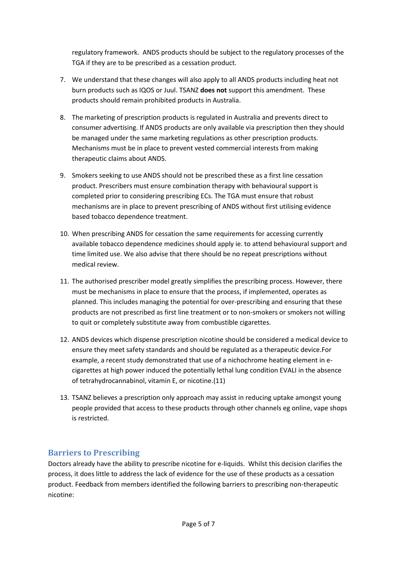regulatory framework. ANDS products should be subject to the regulatory processes of the TGA if they are to be prescribed as a cessation product.

- 7. We understand that these changes will also apply to all ANDS products including heat not burn products such as IQOS or Juul. TSANZ **does not** support this amendment. These products should remain prohibited products in Australia.
- 8. The marketing of prescription products is regulated in Australia and prevents direct to consumer advertising. If ANDS products are only available via prescription then they should be managed under the same marketing regulations as other prescription products. Mechanisms must be in place to prevent vested commercial interests from making therapeutic claims about ANDS.
- 9. Smokers seeking to use ANDS should not be prescribed these as a first line cessation product. Prescribers must ensure combination therapy with behavioural support is completed prior to considering prescribing ECs. The TGA must ensure that robust mechanisms are in place to prevent prescribing of ANDS without first utilising evidence based tobacco dependence treatment.
- 10. When prescribing ANDS for cessation the same requirements for accessing currently available tobacco dependence medicines should apply ie. to attend behavioural support and time limited use. We also advise that there should be no repeat prescriptions without medical review.
- 11. The authorised prescriber model greatly simplifies the prescribing process. However, there must be mechanisms in place to ensure that the process, if implemented, operates as planned. This includes managing the potential for over-prescribing and ensuring that these products are not prescribed as first line treatment or to non-smokers or smokers not willing to quit or completely substitute away from combustible cigarettes.
- 12. ANDS devices which dispense prescription nicotine should be considered a medical device to ensure they meet safety standards and should be regulated as a therapeutic device.For example, a recent study demonstrated that use of a nichochrome heating element in ecigarettes at high power induced the potentially lethal lung condition EVALI in the absence of tetrahydrocannabinol, vitamin E, or nicotine.(11)
- 13. TSANZ believes a prescription only approach may assist in reducing uptake amongst young people provided that access to these products through other channels eg online, vape shops is restricted.

## **Barriers to Prescribing**

Doctors already have the ability to prescribe nicotine for e-liquids. Whilst this decision clarifies the process, it does little to address the lack of evidence for the use of these products as a cessation product. Feedback from members identified the following barriers to prescribing non-therapeutic nicotine: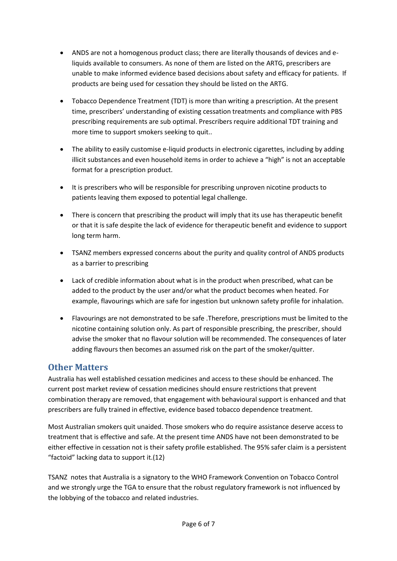- ANDS are not a homogenous product class; there are literally thousands of devices and eliquids available to consumers. As none of them are listed on the ARTG, prescribers are unable to make informed evidence based decisions about safety and efficacy for patients. If products are being used for cessation they should be listed on the ARTG.
- Tobacco Dependence Treatment (TDT) is more than writing a prescription. At the present time, prescribers' understanding of existing cessation treatments and compliance with PBS prescribing requirements are sub optimal. Prescribers require additional TDT training and more time to support smokers seeking to quit..
- The ability to easily customise e-liquid products in electronic cigarettes, including by adding illicit substances and even household items in order to achieve a "high" is not an acceptable format for a prescription product.
- It is prescribers who will be responsible for prescribing unproven nicotine products to patients leaving them exposed to potential legal challenge.
- There is concern that prescribing the product will imply that its use has therapeutic benefit or that it is safe despite the lack of evidence for therapeutic benefit and evidence to support long term harm.
- TSANZ members expressed concerns about the purity and quality control of ANDS products as a barrier to prescribing
- Lack of credible information about what is in the product when prescribed, what can be added to the product by the user and/or what the product becomes when heated. For example, flavourings which are safe for ingestion but unknown safety profile for inhalation.
- Flavourings are not demonstrated to be safe .Therefore, prescriptions must be limited to the nicotine containing solution only. As part of responsible prescribing, the prescriber, should advise the smoker that no flavour solution will be recommended. The consequences of later adding flavours then becomes an assumed risk on the part of the smoker/quitter.

## **Other Matters**

Australia has well established cessation medicines and access to these should be enhanced. The current post market review of cessation medicines should ensure restrictions that prevent combination therapy are removed, that engagement with behavioural support is enhanced and that prescribers are fully trained in effective, evidence based tobacco dependence treatment.

Most Australian smokers quit unaided. Those smokers who do require assistance deserve access to treatment that is effective and safe. At the present time ANDS have not been demonstrated to be either effective in cessation not is their safety profile established. The 95% safer claim is a persistent "factoid" lacking data to support it.(12)

TSANZ notes that Australia is a signatory to the WHO Framework Convention on Tobacco Control and we strongly urge the TGA to ensure that the robust regulatory framework is not influenced by the lobbying of the tobacco and related industries.